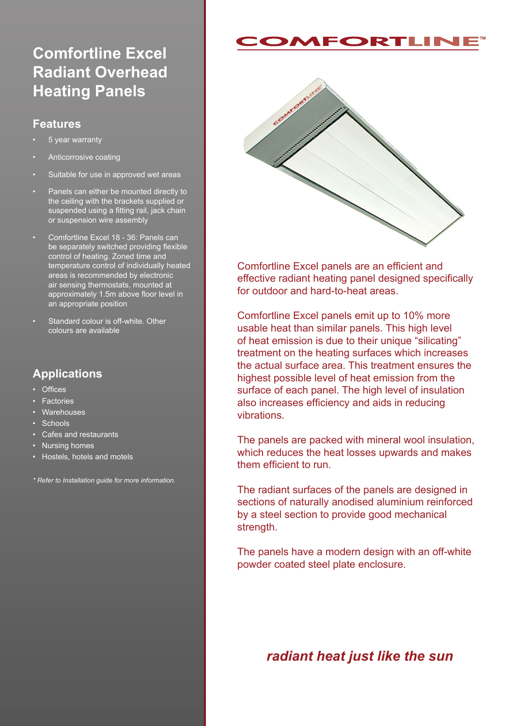# **Comfortline Excel Radiant Overhead Heating Panels**

#### **Features**

- 5 year warranty
- Anticorrosive coating
- Suitable for use in approved wet areas
- Panels can either be mounted directly to the ceiling with the brackets supplied or suspended using a fitting rail, jack chain or suspension wire assembly
- Comfortline Excel 18 36: Panels can be separately switched providing flexible control of heating. Zoned time and temperature control of individually heated areas is recommended by electronic air sensing thermostats, mounted at approximately 1.5m above floor level in an appropriate position
- Standard colour is off-white. Other colours are available

### **Applications**

- Offices
- Factories
- **Warehouses**
- Schools
- Cafes and restaurants
- Nursing homes
- Hostels, hotels and motels

*\* Refer to Installation guide for more information.*

# **EORTLIN**



Comfortline Excel panels are an efficient and effective radiant heating panel designed specifically for outdoor and hard-to-heat areas.

Comfortline Excel panels emit up to 10% more usable heat than similar panels. This high level of heat emission is due to their unique "silicating" treatment on the heating surfaces which increases the actual surface area. This treatment ensures the highest possible level of heat emission from the surface of each panel. The high level of insulation also increases efficiency and aids in reducing vibrations.

The panels are packed with mineral wool insulation, which reduces the heat losses upwards and makes them efficient to run.

The radiant surfaces of the panels are designed in sections of naturally anodised aluminium reinforced by a steel section to provide good mechanical strength.

The panels have a modern design with an off-white powder coated steel plate enclosure.

## *radiant heat just like the sun*